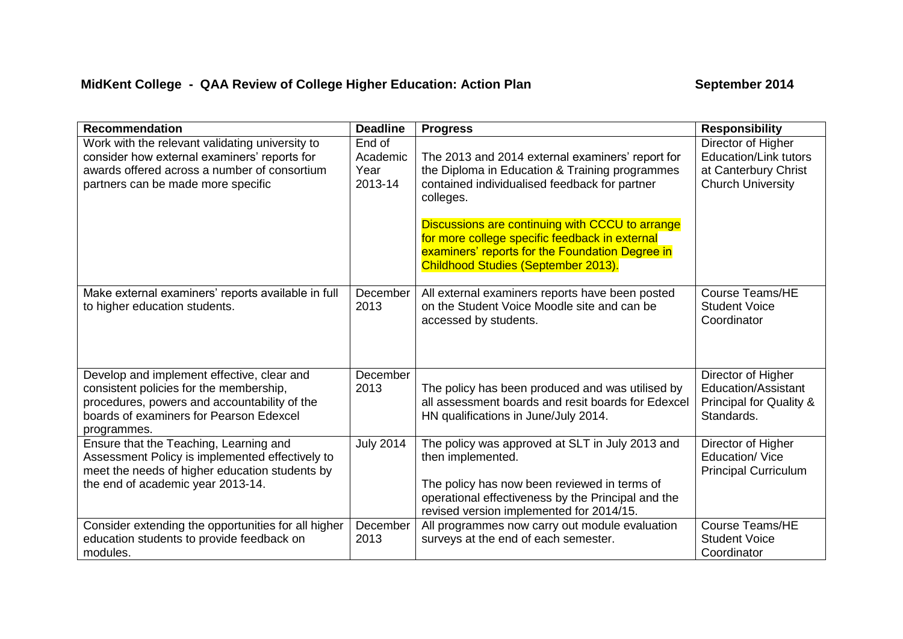## **MidKent College - QAA Review of College Higher Education: Action Plan September 2014**

| <b>Recommendation</b>                                                                                                                                                                           | <b>Deadline</b>                       | <b>Progress</b>                                                                                                                                                                                                                                                                                                                                                 | <b>Responsibility</b>                                                                                  |
|-------------------------------------------------------------------------------------------------------------------------------------------------------------------------------------------------|---------------------------------------|-----------------------------------------------------------------------------------------------------------------------------------------------------------------------------------------------------------------------------------------------------------------------------------------------------------------------------------------------------------------|--------------------------------------------------------------------------------------------------------|
| Work with the relevant validating university to<br>consider how external examiners' reports for<br>awards offered across a number of consortium<br>partners can be made more specific           | End of<br>Academic<br>Year<br>2013-14 | The 2013 and 2014 external examiners' report for<br>the Diploma in Education & Training programmes<br>contained individualised feedback for partner<br>colleges.<br>Discussions are continuing with CCCU to arrange<br>for more college specific feedback in external<br>examiners' reports for the Foundation Degree in<br>Childhood Studies (September 2013). | Director of Higher<br><b>Education/Link tutors</b><br>at Canterbury Christ<br><b>Church University</b> |
| Make external examiners' reports available in full<br>to higher education students.                                                                                                             | December<br>2013                      | All external examiners reports have been posted<br>on the Student Voice Moodle site and can be<br>accessed by students.                                                                                                                                                                                                                                         | <b>Course Teams/HE</b><br><b>Student Voice</b><br>Coordinator                                          |
| Develop and implement effective, clear and<br>consistent policies for the membership,<br>procedures, powers and accountability of the<br>boards of examiners for Pearson Edexcel<br>programmes. | December<br>2013                      | The policy has been produced and was utilised by<br>all assessment boards and resit boards for Edexcel<br>HN qualifications in June/July 2014.                                                                                                                                                                                                                  | Director of Higher<br><b>Education/Assistant</b><br>Principal for Quality &<br>Standards.              |
| Ensure that the Teaching, Learning and<br>Assessment Policy is implemented effectively to<br>meet the needs of higher education students by<br>the end of academic year 2013-14.                | <b>July 2014</b>                      | The policy was approved at SLT in July 2013 and<br>then implemented.<br>The policy has now been reviewed in terms of<br>operational effectiveness by the Principal and the<br>revised version implemented for 2014/15.                                                                                                                                          | Director of Higher<br>Education/Vice<br><b>Principal Curriculum</b>                                    |
| Consider extending the opportunities for all higher<br>education students to provide feedback on<br>modules.                                                                                    | December<br>2013                      | All programmes now carry out module evaluation<br>surveys at the end of each semester.                                                                                                                                                                                                                                                                          | <b>Course Teams/HE</b><br><b>Student Voice</b><br>Coordinator                                          |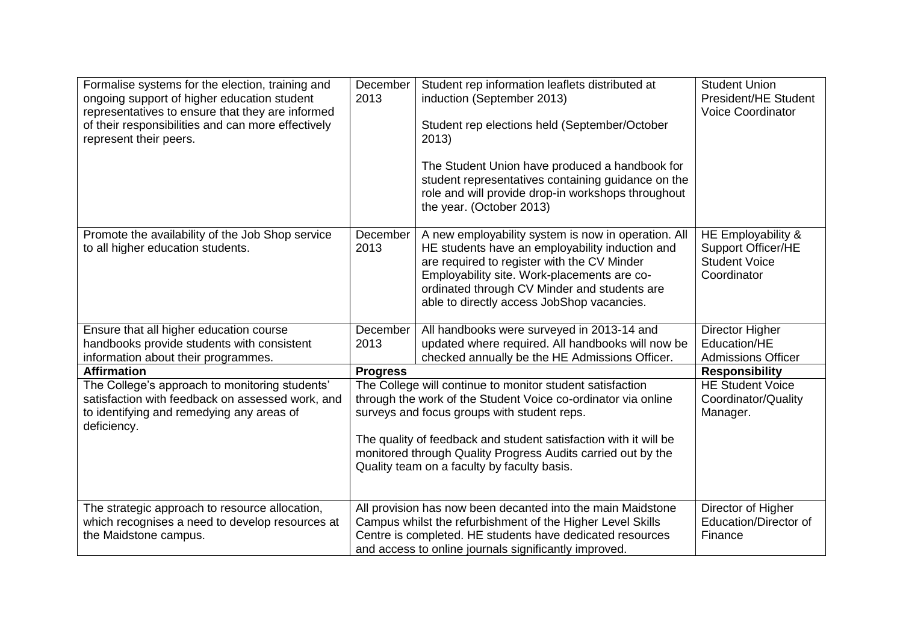| Formalise systems for the election, training and<br>ongoing support of higher education student<br>representatives to ensure that they are informed<br>of their responsibilities and can more effectively<br>represent their peers. | December<br>2013                                                                                                                                                                                                                                                                                                                                             | Student rep information leaflets distributed at<br>induction (September 2013)<br>Student rep elections held (September/October<br>2013)<br>The Student Union have produced a handbook for<br>student representatives containing guidance on the<br>role and will provide drop-in workshops throughout<br>the year. (October 2013) | <b>Student Union</b><br>President/HE Student<br>Voice Coordinator                      |
|-------------------------------------------------------------------------------------------------------------------------------------------------------------------------------------------------------------------------------------|--------------------------------------------------------------------------------------------------------------------------------------------------------------------------------------------------------------------------------------------------------------------------------------------------------------------------------------------------------------|-----------------------------------------------------------------------------------------------------------------------------------------------------------------------------------------------------------------------------------------------------------------------------------------------------------------------------------|----------------------------------------------------------------------------------------|
| Promote the availability of the Job Shop service<br>to all higher education students.                                                                                                                                               | December<br>2013                                                                                                                                                                                                                                                                                                                                             | A new employability system is now in operation. All<br>HE students have an employability induction and<br>are required to register with the CV Minder<br>Employability site. Work-placements are co-<br>ordinated through CV Minder and students are<br>able to directly access JobShop vacancies.                                | HE Employability &<br><b>Support Officer/HE</b><br><b>Student Voice</b><br>Coordinator |
| Ensure that all higher education course                                                                                                                                                                                             | December                                                                                                                                                                                                                                                                                                                                                     | All handbooks were surveyed in 2013-14 and                                                                                                                                                                                                                                                                                        | Director Higher                                                                        |
| handbooks provide students with consistent                                                                                                                                                                                          | 2013                                                                                                                                                                                                                                                                                                                                                         | updated where required. All handbooks will now be                                                                                                                                                                                                                                                                                 | Education/HE                                                                           |
| information about their programmes.                                                                                                                                                                                                 |                                                                                                                                                                                                                                                                                                                                                              | checked annually be the HE Admissions Officer.                                                                                                                                                                                                                                                                                    | <b>Admissions Officer</b>                                                              |
| <b>Affirmation</b>                                                                                                                                                                                                                  | <b>Progress</b>                                                                                                                                                                                                                                                                                                                                              |                                                                                                                                                                                                                                                                                                                                   | <b>Responsibility</b>                                                                  |
| The College's approach to monitoring students'<br>satisfaction with feedback on assessed work, and<br>to identifying and remedying any areas of<br>deficiency.                                                                      | The College will continue to monitor student satisfaction<br>through the work of the Student Voice co-ordinator via online<br>surveys and focus groups with student reps.<br>The quality of feedback and student satisfaction with it will be<br>monitored through Quality Progress Audits carried out by the<br>Quality team on a faculty by faculty basis. |                                                                                                                                                                                                                                                                                                                                   | <b>HE Student Voice</b><br>Coordinator/Quality<br>Manager.                             |
| The strategic approach to resource allocation,<br>which recognises a need to develop resources at<br>the Maidstone campus.                                                                                                          |                                                                                                                                                                                                                                                                                                                                                              | All provision has now been decanted into the main Maidstone<br>Campus whilst the refurbishment of the Higher Level Skills<br>Centre is completed. HE students have dedicated resources<br>and access to online journals significantly improved.                                                                                   | Director of Higher<br><b>Education/Director of</b><br>Finance                          |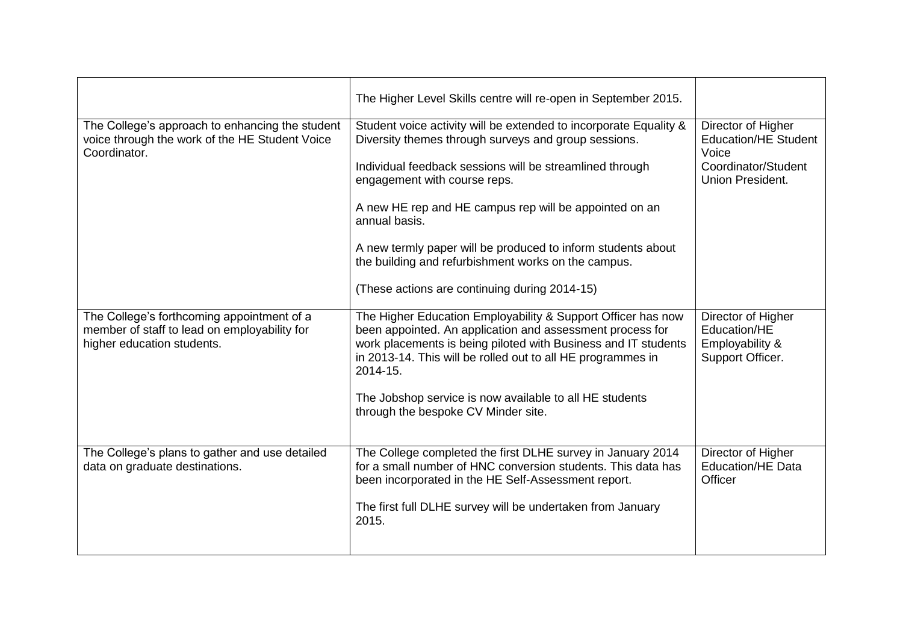| The Higher Level Skills centre will re-open in September 2015.                                                                                                                                                                                                         |                                                                           |  |
|------------------------------------------------------------------------------------------------------------------------------------------------------------------------------------------------------------------------------------------------------------------------|---------------------------------------------------------------------------|--|
| Student voice activity will be extended to incorporate Equality &<br>Diversity themes through surveys and group sessions.                                                                                                                                              | Director of Higher<br><b>Education/HE Student</b><br>Voice                |  |
| Individual feedback sessions will be streamlined through<br>engagement with course reps.                                                                                                                                                                               | Coordinator/Student<br>Union President.                                   |  |
| A new HE rep and HE campus rep will be appointed on an<br>annual basis.                                                                                                                                                                                                |                                                                           |  |
| A new termly paper will be produced to inform students about<br>the building and refurbishment works on the campus.                                                                                                                                                    |                                                                           |  |
| (These actions are continuing during 2014-15)                                                                                                                                                                                                                          |                                                                           |  |
| The Higher Education Employability & Support Officer has now<br>been appointed. An application and assessment process for<br>work placements is being piloted with Business and IT students<br>in 2013-14. This will be rolled out to all HE programmes in<br>2014-15. | Director of Higher<br>Education/HE<br>Employability &<br>Support Officer. |  |
| The Jobshop service is now available to all HE students<br>through the bespoke CV Minder site.                                                                                                                                                                         |                                                                           |  |
| The College completed the first DLHE survey in January 2014<br>for a small number of HNC conversion students. This data has<br>been incorporated in the HE Self-Assessment report.                                                                                     | Director of Higher<br><b>Education/HE Data</b><br>Officer                 |  |
| The first full DLHE survey will be undertaken from January<br>2015.                                                                                                                                                                                                    |                                                                           |  |
|                                                                                                                                                                                                                                                                        |                                                                           |  |